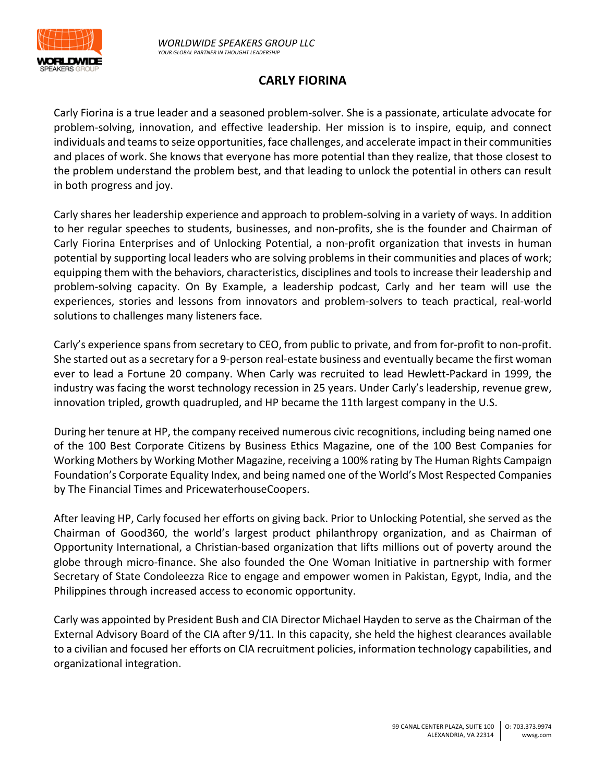

## **CARLY FIORINA**

Carly Fiorina is a true leader and a seasoned problem-solver. She is a passionate, articulate advocate for problem-solving, innovation, and effective leadership. Her mission is to inspire, equip, and connect individuals and teams to seize opportunities, face challenges, and accelerate impact in their communities and places of work. She knows that everyone has more potential than they realize, that those closest to the problem understand the problem best, and that leading to unlock the potential in others can result in both progress and joy.

Carly shares her leadership experience and approach to problem-solving in a variety of ways. In addition to her regular speeches to students, businesses, and non-profits, she is the founder and Chairman of Carly Fiorina Enterprises and of Unlocking Potential, a non-profit organization that invests in human potential by supporting local leaders who are solving problems in their communities and places of work; equipping them with the behaviors, characteristics, disciplines and tools to increase their leadership and problem-solving capacity. On By Example, a leadership podcast, Carly and her team will use the experiences, stories and lessons from innovators and problem-solvers to teach practical, real-world solutions to challenges many listeners face.

Carly's experience spans from secretary to CEO, from public to private, and from for-profit to non-profit. She started out as a secretary for a 9-person real-estate business and eventually became the first woman ever to lead a Fortune 20 company. When Carly was recruited to lead Hewlett-Packard in 1999, the industry was facing the worst technology recession in 25 years. Under Carly's leadership, revenue grew, innovation tripled, growth quadrupled, and HP became the 11th largest company in the U.S.

During her tenure at HP, the company received numerous civic recognitions, including being named one of the 100 Best Corporate Citizens by Business Ethics Magazine, one of the 100 Best Companies for Working Mothers by Working Mother Magazine, receiving a 100% rating by The Human Rights Campaign Foundation's Corporate Equality Index, and being named one of the World's Most Respected Companies by The Financial Times and PricewaterhouseCoopers.

After leaving HP, Carly focused her efforts on giving back. Prior to Unlocking Potential, she served as the Chairman of Good360, the world's largest product philanthropy organization, and as Chairman of Opportunity International, a Christian-based organization that lifts millions out of poverty around the globe through micro-finance. She also founded the One Woman Initiative in partnership with former Secretary of State Condoleezza Rice to engage and empower women in Pakistan, Egypt, India, and the Philippines through increased access to economic opportunity.

Carly was appointed by President Bush and CIA Director Michael Hayden to serve as the Chairman of the External Advisory Board of the CIA after 9/11. In this capacity, she held the highest clearances available to a civilian and focused her efforts on CIA recruitment policies, information technology capabilities, and organizational integration.